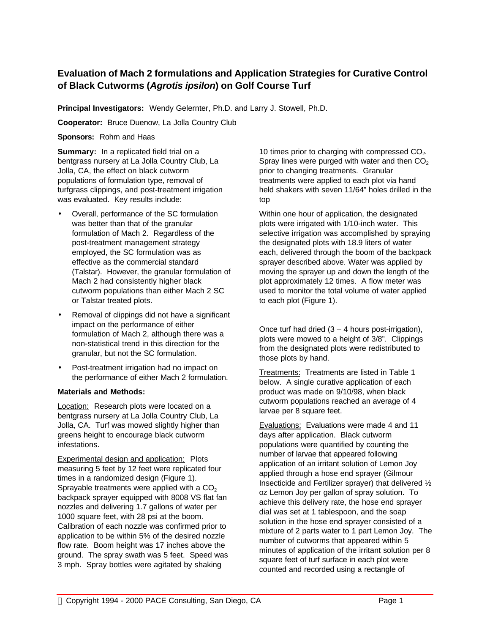## **Evaluation of Mach 2 formulations and Application Strategies for Curative Control of Black Cutworms (***Agrotis ipsilon***) on Golf Course Turf**

**Principal Investigators:** Wendy Gelernter, Ph.D. and Larry J. Stowell, Ph.D.

**Cooperator:** Bruce Duenow, La Jolla Country Club

**Sponsors:** Rohm and Haas

**Summary:** In a replicated field trial on a bentgrass nursery at La Jolla Country Club, La Jolla, CA, the effect on black cutworm populations of formulation type, removal of turfgrass clippings, and post-treatment irrigation was evaluated. Key results include:

- Overall, performance of the SC formulation was better than that of the granular formulation of Mach 2. Regardless of the post-treatment management strategy employed, the SC formulation was as effective as the commercial standard (Talstar). However, the granular formulation of Mach 2 had consistently higher black cutworm populations than either Mach 2 SC or Talstar treated plots.
- Removal of clippings did not have a significant impact on the performance of either formulation of Mach 2, although there was a non-statistical trend in this direction for the granular, but not the SC formulation.
- Post-treatment irrigation had no impact on the performance of either Mach 2 formulation.

## **Materials and Methods:**

Location: Research plots were located on a bentgrass nursery at La Jolla Country Club, La Jolla, CA. Turf was mowed slightly higher than greens height to encourage black cutworm infestations.

Experimental design and application: Plots measuring 5 feet by 12 feet were replicated four times in a randomized design (Figure 1). Sprayable treatments were applied with a  $CO<sub>2</sub>$ backpack sprayer equipped with 8008 VS flat fan nozzles and delivering 1.7 gallons of water per 1000 square feet, with 28 psi at the boom. Calibration of each nozzle was confirmed prior to application to be within 5% of the desired nozzle flow rate. Boom height was 17 inches above the ground. The spray swath was 5 feet. Speed was 3 mph. Spray bottles were agitated by shaking

10 times prior to charging with compressed  $CO<sub>2</sub>$ . Spray lines were purged with water and then  $CO<sub>2</sub>$ prior to changing treatments. Granular treatments were applied to each plot via hand held shakers with seven 11/64" holes drilled in the top

Within one hour of application, the designated plots were irrigated with 1/10-inch water. This selective irrigation was accomplished by spraying the designated plots with 18.9 liters of water each, delivered through the boom of the backpack sprayer described above. Water was applied by moving the sprayer up and down the length of the plot approximately 12 times. A flow meter was used to monitor the total volume of water applied to each plot (Figure 1).

Once turf had dried  $(3 - 4$  hours post-irrigation), plots were mowed to a height of 3/8". Clippings from the designated plots were redistributed to those plots by hand.

Treatments: Treatments are listed in Table 1 below. A single curative application of each product was made on 9/10/98, when black cutworm populations reached an average of 4 larvae per 8 square feet.

Evaluations: Evaluations were made 4 and 11 days after application. Black cutworm populations were quantified by counting the number of larvae that appeared following application of an irritant solution of Lemon Joy applied through a hose end sprayer (Gilmour Insecticide and Fertilizer sprayer) that delivered ½ oz Lemon Joy per gallon of spray solution. To achieve this delivery rate, the hose end sprayer dial was set at 1 tablespoon, and the soap solution in the hose end sprayer consisted of a mixture of 2 parts water to 1 part Lemon Joy. The number of cutworms that appeared within 5 minutes of application of the irritant solution per 8 square feet of turf surface in each plot were counted and recorded using a rectangle of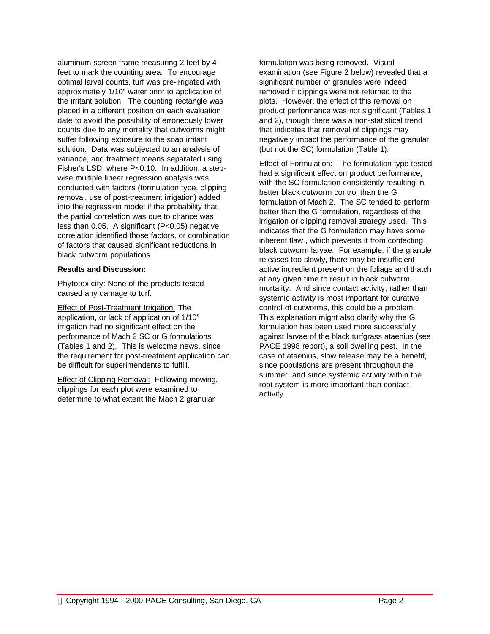aluminum screen frame measuring 2 feet by 4 feet to mark the counting area. To encourage optimal larval counts, turf was pre-irrigated with approximately 1/10" water prior to application of the irritant solution. The counting rectangle was placed in a different position on each evaluation date to avoid the possibility of erroneously lower counts due to any mortality that cutworms might suffer following exposure to the soap irritant solution. Data was subjected to an analysis of variance, and treatment means separated using Fisher's LSD, where P<0.10. In addition, a stepwise multiple linear regression analysis was conducted with factors (formulation type, clipping removal, use of post-treatment irrigation) added into the regression model if the probability that the partial correlation was due to chance was less than  $0.05$ . A significant ( $P < 0.05$ ) negative correlation identified those factors, or combination of factors that caused significant reductions in black cutworm populations.

## **Results and Discussion:**

Phytotoxicity: None of the products tested caused any damage to turf.

**Effect of Post-Treatment Irrigation: The** application, or lack of application of 1/10" irrigation had no significant effect on the performance of Mach 2 SC or G formulations (Tables 1 and 2). This is welcome news, since the requirement for post-treatment application can be difficult for superintendents to fulfill.

Effect of Clipping Removal: Following mowing, clippings for each plot were examined to determine to what extent the Mach 2 granular

formulation was being removed. Visual examination (see Figure 2 below) revealed that a significant number of granules were indeed removed if clippings were not returned to the plots. However, the effect of this removal on product performance was not significant (Tables 1 and 2), though there was a non-statistical trend that indicates that removal of clippings may negatively impact the performance of the granular (but not the SC) formulation (Table 1).

Effect of Formulation: The formulation type tested had a significant effect on product performance, with the SC formulation consistently resulting in better black cutworm control than the G formulation of Mach 2. The SC tended to perform better than the G formulation, regardless of the irrigation or clipping removal strategy used. This indicates that the G formulation may have some inherent flaw , which prevents it from contacting black cutworm larvae. For example, if the granule releases too slowly, there may be insufficient active ingredient present on the foliage and thatch at any given time to result in black cutworm mortality. And since contact activity, rather than systemic activity is most important for curative control of cutworms, this could be a problem. This explanation might also clarify why the G formulation has been used more successfully against larvae of the black turfgrass ataenius (see PACE 1998 report), a soil dwelling pest. In the case of ataenius, slow release may be a benefit, since populations are present throughout the summer, and since systemic activity within the root system is more important than contact activity.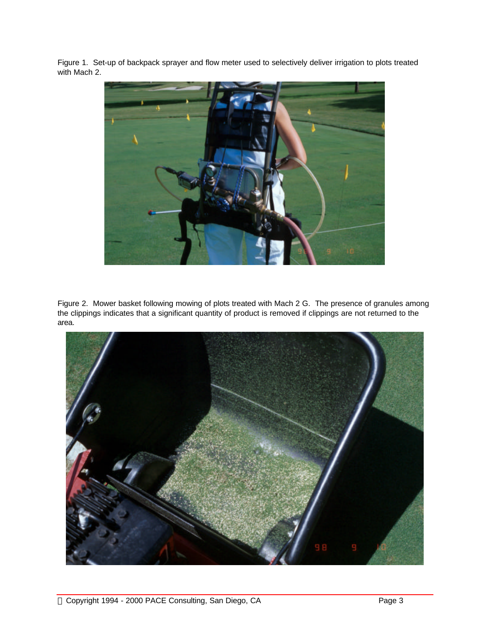Figure 1. Set-up of backpack sprayer and flow meter used to selectively deliver irrigation to plots treated with Mach 2.



Figure 2. Mower basket following mowing of plots treated with Mach 2 G. The presence of granules among the clippings indicates that a significant quantity of product is removed if clippings are not returned to the area.

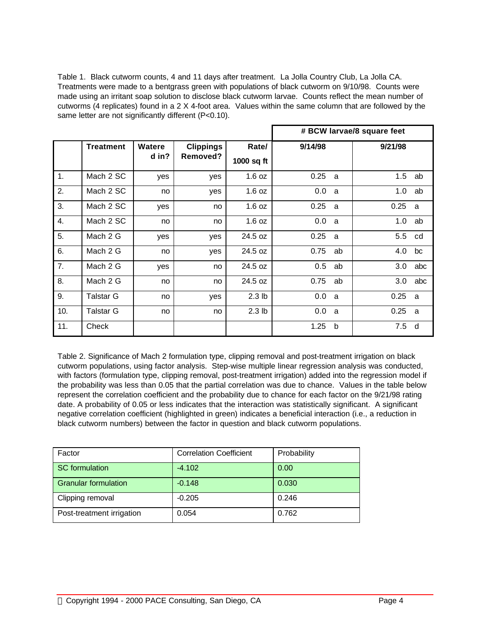Table 1. Black cutworm counts, 4 and 11 days after treatment. La Jolla Country Club, La Jolla CA. Treatments were made to a bentgrass green with populations of black cutworm on 9/10/98. Counts were made using an irritant soap solution to disclose black cutworm larvae. Counts reflect the mean number of cutworms (4 replicates) found in a 2 X 4-foot area. Values within the same column that are followed by the same letter are not significantly different (P<0.10).

|     |                  |        |                  |                   | # BCW larvae/8 square feet |    |         |     |  |  |  |  |
|-----|------------------|--------|------------------|-------------------|----------------------------|----|---------|-----|--|--|--|--|
|     | <b>Treatment</b> | Watere | <b>Clippings</b> | Rate/             | 9/14/98                    |    | 9/21/98 |     |  |  |  |  |
|     |                  | d in?  | Removed?         | 1000 sq ft        |                            |    |         |     |  |  |  |  |
| 1.  | Mach 2 SC        | yes    | yes              | 1.6 oz            | 0.25                       | a  | 1.5     | ab  |  |  |  |  |
| 2.  | Mach 2 SC        | no     | yes              | 1.6 oz            | 0.0                        | a  | 1.0     | ab  |  |  |  |  |
| 3.  | Mach 2 SC        | yes    | no               | 1.6 oz            | 0.25                       | a  | 0.25    | a   |  |  |  |  |
| 4.  | Mach 2 SC        | no     | no               | 1.6 oz            | 0.0                        | a  | 1.0     | ab  |  |  |  |  |
| 5.  | Mach 2 G         | yes    | yes              | 24.5 oz           | 0.25                       | a  | 5.5     | cd  |  |  |  |  |
| 6.  | Mach 2 G         | no     | yes              | 24.5 oz           | 0.75                       | ab | 4.0     | bc  |  |  |  |  |
| 7.  | Mach 2 G         | yes    | no               | 24.5 oz           | 0.5                        | ab | 3.0     | abc |  |  |  |  |
| 8.  | Mach 2 G         | no     | no               | 24.5 oz           | 0.75                       | ab | 3.0     | abc |  |  |  |  |
| 9.  | <b>Talstar G</b> | no     | yes              | 2.3 <sub>lb</sub> | 0.0                        | a  | 0.25    | a   |  |  |  |  |
| 10. | <b>Talstar G</b> | no     | no               | 2.3 <sub>lb</sub> | 0.0                        | a  | 0.25    | a   |  |  |  |  |
| 11. | Check            |        |                  |                   | 1.25                       | b  | 7.5     | d   |  |  |  |  |

Table 2. Significance of Mach 2 formulation type, clipping removal and post-treatment irrigation on black cutworm populations, using factor analysis. Step-wise multiple linear regression analysis was conducted, with factors (formulation type, clipping removal, post-treatment irrigation) added into the regression model if the probability was less than 0.05 that the partial correlation was due to chance. Values in the table below represent the correlation coefficient and the probability due to chance for each factor on the 9/21/98 rating date. A probability of 0.05 or less indicates that the interaction was statistically significant. A significant negative correlation coefficient (highlighted in green) indicates a beneficial interaction (i.e., a reduction in black cutworm numbers) between the factor in question and black cutworm populations.

| Factor                      | <b>Correlation Coefficient</b> | Probability |
|-----------------------------|--------------------------------|-------------|
| <b>SC</b> formulation       | $-4.102$                       | 0.00        |
| <b>Granular formulation</b> | $-0.148$                       | 0.030       |
| Clipping removal            | $-0.205$                       | 0.246       |
| Post-treatment irrigation   | 0.054                          | 0.762       |